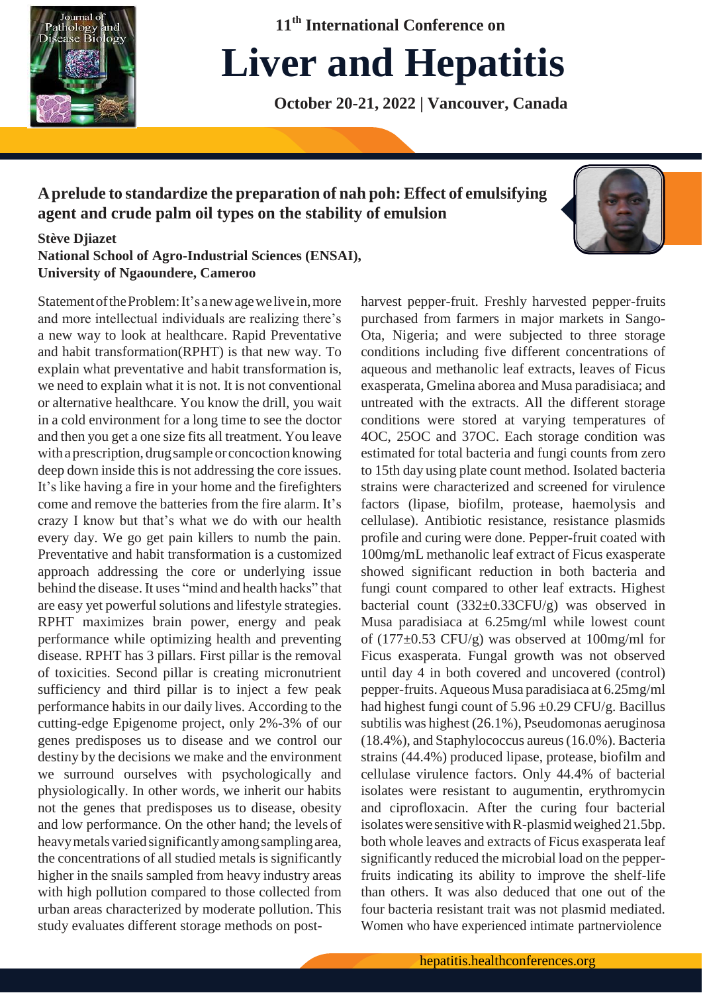

**11th International Conference on**

# **Liver and Hepatitis**

**October 20-21, 2022 | Vancouver, Canada**

# **Aprelude to standardize the preparation of nah poh: Effect of emulsifying agent and crude palm oil types on the stability of emulsion**



## **Stève Djiazet**

**National School of Agro-Industrial Sciences (ENSAI), University of Ngaoundere, Cameroo**

Statement of the Problem: It's a new age we live in, more and more intellectual individuals are realizing there's a new way to look at healthcare. Rapid Preventative and habit transformation(RPHT) is that new way. To explain what preventative and habit transformation is, we need to explain what it is not. It is not conventional or alternative healthcare. You know the drill, you wait in a cold environment for a long time to see the doctor and then you get a one size fits all treatment. You leave with a prescription, drug sample or concoction knowing deep down inside this is not addressing the core issues. It's like having a fire in your home and the firefighters come and remove the batteries from the fire alarm. It's crazy I know but that's what we do with our health every day. We go get pain killers to numb the pain. Preventative and habit transformation is a customized approach addressing the core or underlying issue behind the disease. It uses "mind and health hacks" that are easy yet powerful solutions and lifestyle strategies. RPHT maximizes brain power, energy and peak performance while optimizing health and preventing disease. RPHT has 3 pillars. First pillar is the removal of toxicities. Second pillar is creating micronutrient sufficiency and third pillar is to inject a few peak performance habits in our daily lives. According to the cutting-edge Epigenome project, only 2%-3% of our genes predisposes us to disease and we control our destiny by the decisions we make and the environment we surround ourselves with psychologically and physiologically. In other words, we inherit our habits not the genes that predisposes us to disease, obesity and low performance. On the other hand; the levels of heavy metals varied significantly among sampling area, the concentrations of all studied metals is significantly higher in the snails sampled from heavy industry areas with high pollution compared to those collected from urban areas characterized by moderate pollution. This study evaluates different storage methods on postharvest pepper-fruit. Freshly harvested pepper-fruits purchased from farmers in major markets in Sango-Ota, Nigeria; and were subjected to three storage conditions including five different concentrations of aqueous and methanolic leaf extracts, leaves of Ficus exasperata, Gmelina aborea and Musa paradisiaca; and untreated with the extracts. All the different storage conditions were stored at varying temperatures of 4OC, 25OC and 37OC. Each storage condition was estimated for total bacteria and fungi counts from zero to 15th day using plate count method. Isolated bacteria strains were characterized and screened for virulence factors (lipase, biofilm, protease, haemolysis and cellulase). Antibiotic resistance, resistance plasmids profile and curing were done. Pepper-fruit coated with 100mg/mL methanolic leaf extract of Ficus exasperate showed significant reduction in both bacteria and fungi count compared to other leaf extracts. Highest bacterial count (332±0.33CFU/g) was observed in Musa paradisiaca at 6.25mg/ml while lowest count of (177±0.53 CFU/g) was observed at 100mg/ml for Ficus exasperata. Fungal growth was not observed until day 4 in both covered and uncovered (control) pepper-fruits. Aqueous Musa paradisiaca at 6.25mg/ml had highest fungi count of  $5.96 \pm 0.29$  CFU/g. Bacillus subtilis was highest (26.1%), Pseudomonas aeruginosa (18.4%), and Staphylococcus aureus(16.0%). Bacteria strains (44.4%) produced lipase, protease, biofilm and cellulase virulence factors. Only 44.4% of bacterial isolates were resistant to augumentin, erythromycin and ciprofloxacin. After the curing four bacterial isolates were sensitive with R-plasmid weighed 21.5bp. both whole leaves and extracts of Ficus exasperata leaf significantly reduced the microbial load on the pepperfruits indicating its ability to improve the shelf-life than others. It was also deduced that one out of the four bacteria resistant trait was not plasmid mediated. Women who have experienced intimate partnerviolence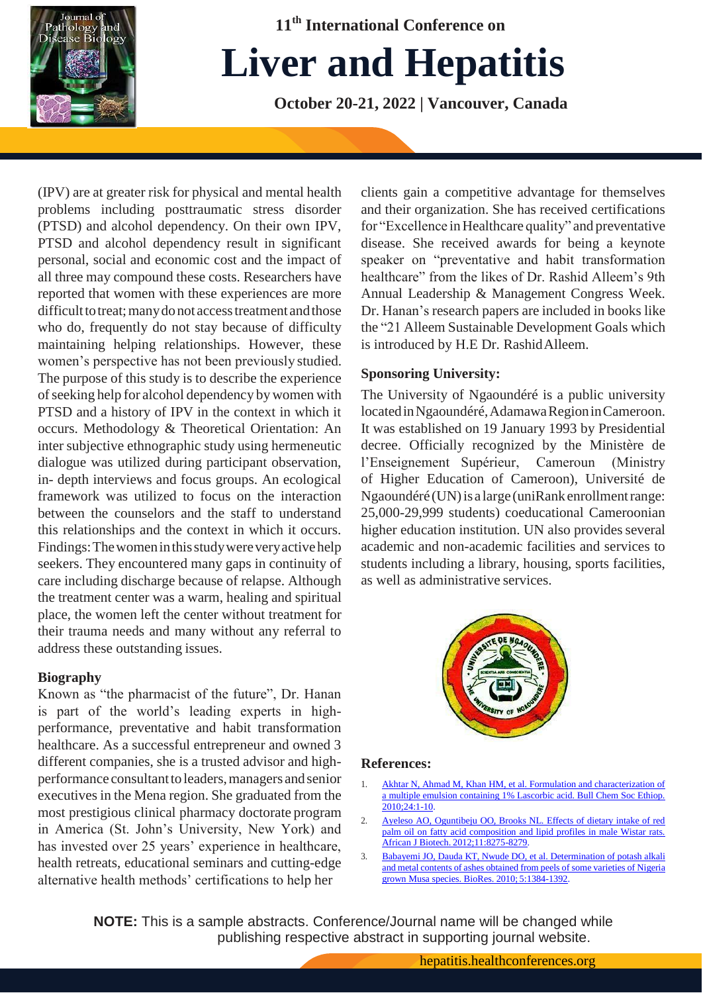

**11th International Conference on**

# **Liver and Hepatitis**

**October 20-21, 2022 | Vancouver, Canada**

(IPV) are at greater risk for physical and mental health problems including posttraumatic stress disorder (PTSD) and alcohol dependency. On their own IPV, PTSD and alcohol dependency result in significant personal, social and economic cost and the impact of all three may compound these costs. Researchers have reported that women with these experiences are more difficult to treat; many do not access treatment and those who do, frequently do not stay because of difficulty maintaining helping relationships. However, these women's perspective has not been previously studied. The purpose of this study is to describe the experience ofseeking help for alcohol dependency bywomen with PTSD and a history of IPV in the context in which it occurs. Methodology & Theoretical Orientation: An inter subjective ethnographic study using hermeneutic dialogue was utilized during participant observation, in- depth interviews and focus groups. An ecological framework was utilized to focus on the interaction between the counselors and the staff to understand this relationships and the context in which it occurs. Findings: The women in this study were very active help seekers. They encountered many gaps in continuity of care including discharge because of relapse. Although the treatment center was a warm, healing and spiritual place, the women left the center without treatment for their trauma needs and many without any referral to address these outstanding issues.

### **Biography**

Known as "the pharmacist of the future", Dr. Hanan is part of the world's leading experts in highperformance, preventative and habit transformation healthcare. As a successful entrepreneur and owned 3 different companies, she is a trusted advisor and highperformance consultant to leaders, managers and senior executives in the Mena region. She graduated from the most prestigious clinical pharmacy doctorate program in America (St. John's University, New York) and has invested over 25 years' experience in healthcare, health retreats, educational seminars and cutting-edge alternative health methods' certifications to help her

clients gain a competitive advantage for themselves and their organization. She has received certifications for "Excellence inHealthcare quality" and preventative disease. She received awards for being a keynote speaker on "preventative and habit transformation healthcare" from the likes of Dr. Rashid Alleem's 9th Annual Leadership & Management Congress Week. Dr. Hanan's research papers are included in books like the "21 Alleem Sustainable Development Goals which is introduced by H.E Dr. RashidAlleem.

## **Sponsoring University:**

The University of Ngaoundéré is a public university located in Ngaoundéré, Adamawa Region in Cameroon. It was established on 19 January 1993 by Presidential decree. Officially recognized by the Ministère de l'Enseignement Supérieur, Cameroun (Ministry of Higher Education of Cameroon), Université de Ngaoundéré (UN) is a large (uniRank enrollment range: 25,000-29,999 students) coeducational Cameroonian higher education institution. UN also provides several academic and non-academic facilities and services to students including a library, housing, sports facilities, as well as administrative services.



### **References:**

- 1. Akhtar N, Ahmad M, Khan HM, et al. Formulation and characterization of a multiple emulsion containing 1% Lascorbic acid. Bull Chem Soc Ethiop. 2010;24:1-10.
- 2. [Ayeleso AO, Oguntibeju OO, Brooks NL. Effects of dietary intake of red](https://academicjournals.org/journal/AJB/article-full-text-pdf/BBDC1A136936) [palm oil on fatty acid composition and lipid profiles in male Wistar rats.](https://academicjournals.org/journal/AJB/article-full-text-pdf/BBDC1A136936) African J Biotech. [2012;11:8275-8279.](https://academicjournals.org/journal/AJB/article-full-text-pdf/BBDC1A136936)
- 3. [Babayemi JO, Dauda KT, Nwude DO, et al. Determination of potash alkali](https://ojs.cnr.ncsu.edu/index.php/BioRes/article/view/BioRes_05_3_1384_Babyemi_DKNAEA_Potash_from_Musa_Peels) and metal contents of ashes [obtained](https://ojs.cnr.ncsu.edu/index.php/BioRes/article/view/BioRes_05_3_1384_Babyemi_DKNAEA_Potash_from_Musa_Peels) from peels of some varieties of Nigeri[a](https://ojs.cnr.ncsu.edu/index.php/BioRes/article/view/BioRes_05_3_1384_Babyemi_DKNAEA_Potash_from_Musa_Peels) [grown Musa species. BioRes. 2010;](https://ojs.cnr.ncsu.edu/index.php/BioRes/article/view/BioRes_05_3_1384_Babyemi_DKNAEA_Potash_from_Musa_Peels) 5:1384-1392.

**NOTE:** This is a sample abstracts. Conference/Journal name will be changed while publishing respective abstract in supporting journal website.